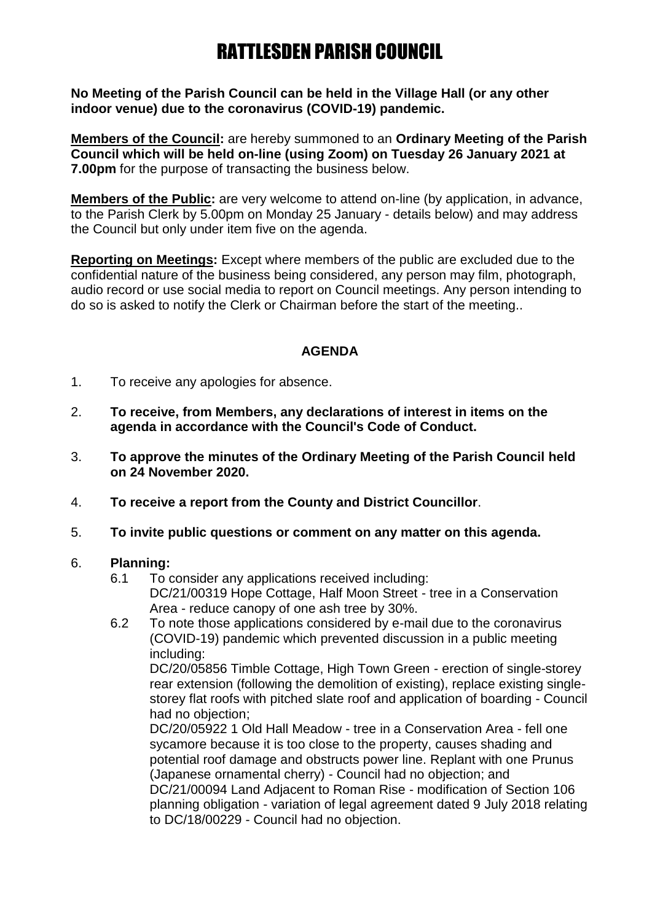# RATTLESDEN PARISH COUNCIL

**No Meeting of the Parish Council can be held in the Village Hall (or any other indoor venue) due to the coronavirus (COVID-19) pandemic.**

**Members of the Council:** are hereby summoned to an **Ordinary Meeting of the Parish Council which will be held on-line (using Zoom) on Tuesday 26 January 2021 at 7.00pm** for the purpose of transacting the business below.

**Members of the Public:** are very welcome to attend on-line (by application, in advance, to the Parish Clerk by 5.00pm on Monday 25 January - details below) and may address the Council but only under item five on the agenda.

**Reporting on Meetings:** Except where members of the public are excluded due to the confidential nature of the business being considered, any person may film, photograph, audio record or use social media to report on Council meetings. Any person intending to do so is asked to notify the Clerk or Chairman before the start of the meeting..

### **AGENDA**

- 1. To receive any apologies for absence.
- 2. **To receive, from Members, any declarations of interest in items on the agenda in accordance with the Council's Code of Conduct.**
- 3. **To approve the minutes of the Ordinary Meeting of the Parish Council held on 24 November 2020.**
- 4. **To receive a report from the County and District Councillor**.
- 5. **To invite public questions or comment on any matter on this agenda.**

#### 6. **Planning:**

- 6.1 To consider any applications received including: DC/21/00319 Hope Cottage, Half Moon Street - tree in a Conservation Area - reduce canopy of one ash tree by 30%.
- 6.2 To note those applications considered by e-mail due to the coronavirus (COVID-19) pandemic which prevented discussion in a public meeting including:

DC/20/05856 Timble Cottage, High Town Green - erection of single-storey rear extension (following the demolition of existing), replace existing singlestorey flat roofs with pitched slate roof and application of boarding - Council had no objection;

DC/20/05922 1 Old Hall Meadow - tree in a Conservation Area - fell one sycamore because it is too close to the property, causes shading and potential roof damage and obstructs power line. Replant with one Prunus (Japanese ornamental cherry) - Council had no objection; and DC/21/00094 Land Adjacent to Roman Rise - modification of Section 106 planning obligation - variation of legal agreement dated 9 July 2018 relating to DC/18/00229 - Council had no objection.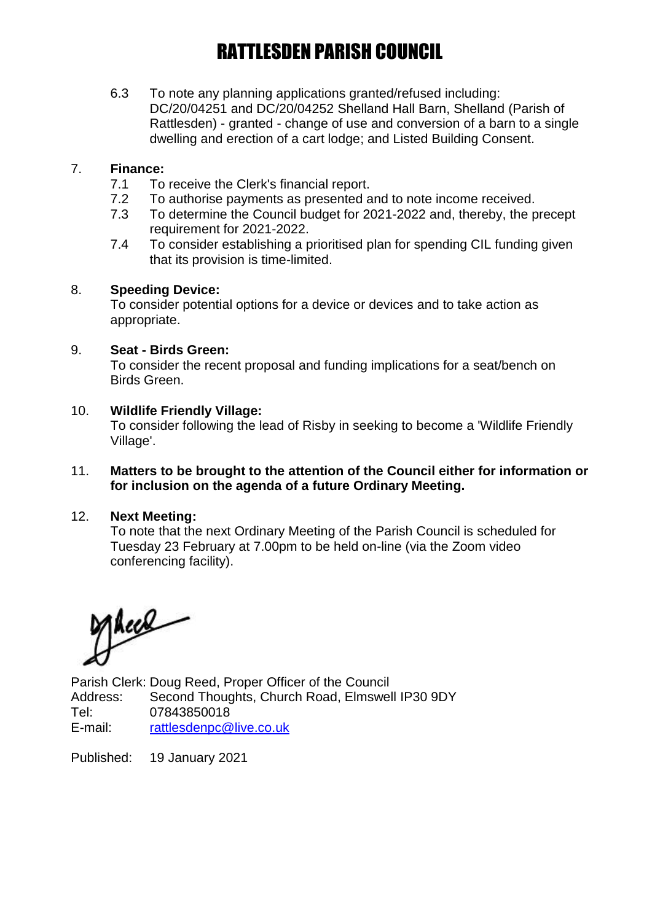# RATTLESDEN PARISH COUNCIL

6.3 To note any planning applications granted/refused including: DC/20/04251 and DC/20/04252 Shelland Hall Barn, Shelland (Parish of Rattlesden) - granted - change of use and conversion of a barn to a single dwelling and erection of a cart lodge; and Listed Building Consent.

## 7. **Finance:**

- 7.1 To receive the Clerk's financial report.
- 7.2 To authorise payments as presented and to note income received.
- 7.3 To determine the Council budget for 2021-2022 and, thereby, the precept requirement for 2021-2022.
- 7.4 To consider establishing a prioritised plan for spending CIL funding given that its provision is time-limited.

### 8. **Speeding Device:**

To consider potential options for a device or devices and to take action as appropriate.

### 9. **Seat - Birds Green:**

To consider the recent proposal and funding implications for a seat/bench on Birds Green.

### 10. **Wildlife Friendly Village:**

To consider following the lead of Risby in seeking to become a 'Wildlife Friendly Village'.

#### 11. **Matters to be brought to the attention of the Council either for information or for inclusion on the agenda of a future Ordinary Meeting.**

## 12. **Next Meeting:**

To note that the next Ordinary Meeting of the Parish Council is scheduled for Tuesday 23 February at 7.00pm to be held on-line (via the Zoom video conferencing facility).

Mece

Parish Clerk: Doug Reed, Proper Officer of the Council Address: Second Thoughts, Church Road, Elmswell IP30 9DY Tel: 07843850018 E-mail: [rattlesdenpc@live.co.uk](mailto:rattlesdenpc@live.co.uk)

Published: 19 January 2021